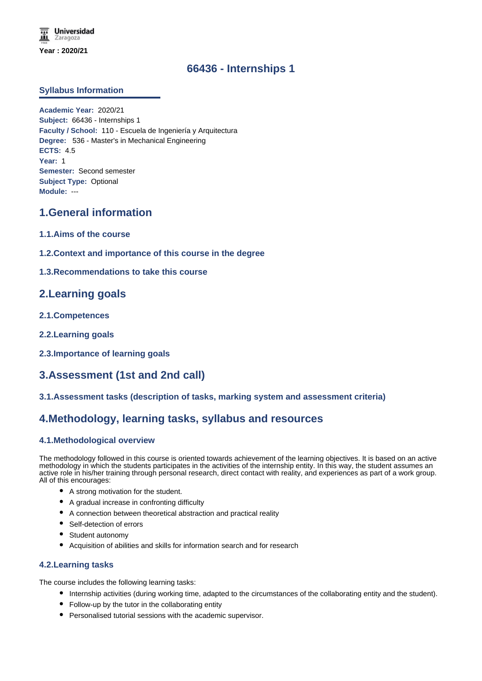# **66436 - Internships 1**

### **Syllabus Information**

**Academic Year:** 2020/21 **Subject:** 66436 - Internships 1 **Faculty / School:** 110 - Escuela de Ingeniería y Arquitectura **Degree:** 536 - Master's in Mechanical Engineering **ECTS:** 4.5 **Year:** 1 **Semester:** Second semester **Subject Type:** Optional **Module:** ---

# **1.General information**

- **1.1.Aims of the course**
- **1.2.Context and importance of this course in the degree**

## **1.3.Recommendations to take this course**

## **2.Learning goals**

- **2.1.Competences**
- **2.2.Learning goals**
- **2.3.Importance of learning goals**

# **3.Assessment (1st and 2nd call)**

**3.1.Assessment tasks (description of tasks, marking system and assessment criteria)**

# **4.Methodology, learning tasks, syllabus and resources**

#### **4.1.Methodological overview**

The methodology followed in this course is oriented towards achievement of the learning objectives. It is based on an active methodology in which the students participates in the activities of the internship entity. In this way, the student assumes an active role in his/her training through personal research, direct contact with reality, and experiences as part of a work group. All of this encourages:

- A strong motivation for the student.
- A gradual increase in confronting difficulty
- A connection between theoretical abstraction and practical reality
- Self-detection of errors
- Student autonomy
- Acquisition of abilities and skills for information search and for research

#### **4.2.Learning tasks**

The course includes the following learning tasks:

- Internship activities (during working time, adapted to the circumstances of the collaborating entity and the student).
- Follow-up by the tutor in the collaborating entity
- Personalised tutorial sessions with the academic supervisor.